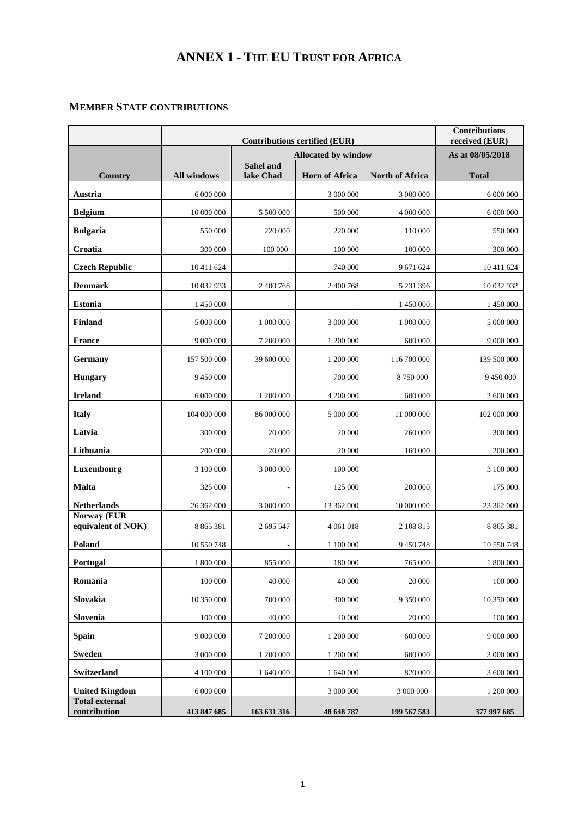## **ANNEX 1 - THE EU TRUST FOR AFRICA**

## **MEMBER STATE CONTRIBUTIONS**

|                                       |                    | <b>Contributions</b><br>received (EUR)                             |                       |                        |               |
|---------------------------------------|--------------------|--------------------------------------------------------------------|-----------------------|------------------------|---------------|
|                                       |                    | <b>Contributions certified (EUR)</b><br><b>Allocated by window</b> | As at 08/05/2018      |                        |               |
| Country                               | <b>All windows</b> | Sahel and<br>lake Chad                                             | <b>Horn of Africa</b> | <b>North of Africa</b> | <b>Total</b>  |
| Austria                               | 6 000 000          |                                                                    | 3 000 000             | 3 000 000              | 6 000 000     |
| <b>Belgium</b>                        | 10 000 000         | 5 500 000                                                          | 500 000               | 4 000 000              | 6 000 000     |
| <b>Bulgaria</b>                       | 550 000            | 220 000                                                            | 220 000               | 110 000                | 550 000       |
| Croatia                               | 300 000            | 100 000                                                            | 100 000               | 100 000                | 300 000       |
| <b>Czech Republic</b>                 | 10 411 624         |                                                                    | 740 000               | 9 671 624              | 10 411 624    |
| <b>Denmark</b>                        | 10 032 933         | 2 400 768                                                          | 2 400 768             | 5 231 396              | 10 032 932    |
| <b>Estonia</b>                        | 1 450 000          |                                                                    |                       | 1 450 000              | 1 450 000     |
| <b>Finland</b>                        | 5 000 000          | 1 000 000                                                          | 3 000 000             | 1 000 000              | 5 000 000     |
| <b>France</b>                         | 9 000 000          | 7 200 000                                                          | 1 200 000             | 600 000                | 9 000 000     |
| Germany                               | 157 500 000        | 39 600 000                                                         | 1 200 000             | 116 700 000            | 139 500 000   |
| <b>Hungary</b>                        | 9 450 000          |                                                                    | 700 000               | 8750000                | 9 450 000     |
| <b>Ireland</b>                        | 6 000 000          | 1 200 000                                                          | 4 200 000             | 600 000                | 2 600 000     |
| <b>Italy</b>                          | 104 000 000        | 86 000 000                                                         | 5 000 000             | 11 000 000             | 102 000 000   |
| Latvia                                | 300 000            | 20 000                                                             | 20 000                | 260 000                | 300 000       |
| Lithuania                             | 200 000            | 20 000                                                             | 20 000                | 160 000                | 200 000       |
| Luxembourg                            | 3 100 000          | 3 000 000                                                          | 100 000               |                        | 3 100 000     |
| <b>Malta</b>                          | 325 000            | $\overline{\phantom{a}}$                                           | 125 000               | 200 000                | 175 000       |
| <b>Netherlands</b>                    | 26 362 000         | 3 000 000                                                          | 13 362 000            | 10 000 000             | 23 362 000    |
| Norway (EUR<br>equivalent of NOK)     | 8 8 6 5 3 8 1      | 2 695 547                                                          | 4 0 61 0 18           | 2 108 815              | 8 8 6 5 3 8 1 |
| Poland                                | 10 550 748         | ÷,                                                                 | 1 100 000             | 9 450 748              | 10 550 748    |
| Portugal                              | 1800000            | 855 000                                                            | 180 000               | 765 000                | $1\ 800\ 000$ |
| Romania                               | 100 000            | 40 000                                                             | 40 000                | 20 000                 | 100 000       |
| Slovakia                              | 10 350 000         | 700 000                                                            | 300 000               | 9 350 000              | 10 350 000    |
| Slovenia                              | 100 000            | 40 000                                                             | 40 000                | 20 000                 | 100 000       |
| <b>Spain</b>                          | 9 000 000          | 7 200 000                                                          | 1 200 000             | 600 000                | 9 000 000     |
| <b>Sweden</b>                         | 3 000 000          | 1 200 000                                                          | 1 200 000             | 600 000                | 3 000 000     |
| Switzerland                           | 4 100 000          | 1 640 000                                                          | 1 640 000             | 820 000                | 3 600 000     |
| <b>United Kingdom</b>                 | 6 000 000          |                                                                    | 3 000 000             | 3 000 000              | 1 200 000     |
| <b>Total external</b><br>contribution | 413 847 685        | 163 631 316                                                        | 48 648 787            | 199 567 583            | 377 997 685   |